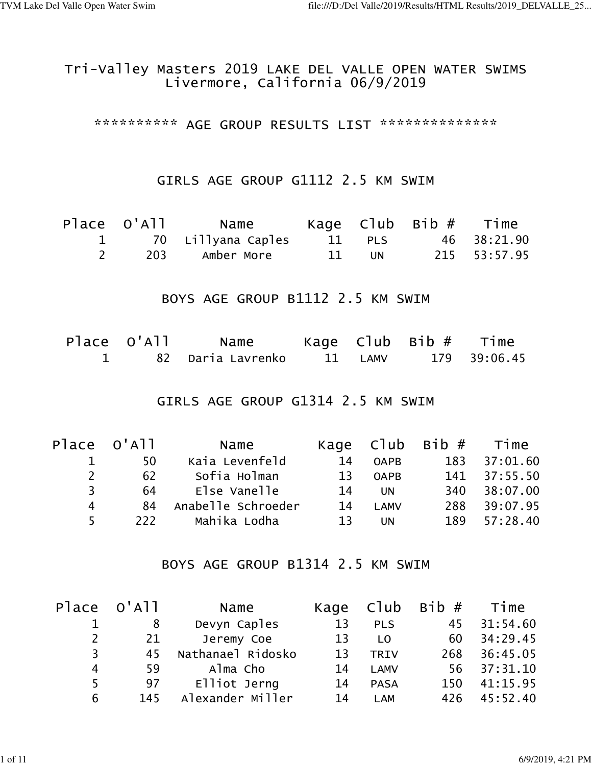### Tri-Valley Masters 2019 LAKE DEL VALLE OPEN WATER SWIMS Livermore, California 06/9/2019

\*\*\*\*\*\*\*\*\*\*\* AGE GROUP RESULTS LIST \*\*\*\*\*\*\*\*\*\*\*\*\*\*\*

#### GIRLS AGE GROUP G1112 2.5 KM SWIM

| Place O'All |                      |        |     |                    |
|-------------|----------------------|--------|-----|--------------------|
|             | 1 70 Lillyana Caples |        |     | 11 PLS 46 38:21.90 |
|             | 203 Amber More       | - 11 - | UN. | 215 53:57.95       |

#### BOYS AGE GROUP B1112 2.5 KM SWIM

| Place O'All | Name                |         | Kage Club Bib# Time |
|-------------|---------------------|---------|---------------------|
|             | 82   Daria Lavrenko | 11 LAMV | 179 39:06.45        |

#### GIRLS AGE GROUP G1314 2.5 KM SWIM

|    | Place O'All | Name               |           |             | Kage $C1ub$ Bib $#$ Time |              |
|----|-------------|--------------------|-----------|-------------|--------------------------|--------------|
|    | 50          | Kaia Levenfeld     | 14        | <b>OAPB</b> |                          | 183 37:01.60 |
| 2  | 62          | Sofia Holman       | <b>13</b> | <b>OAPB</b> |                          | 141 37:55.50 |
| २  | 64          | Else Vanelle       | 14        | <b>UN</b>   | 340                      | 38:07.00     |
| 4  | -84         | Anabelle Schroeder | 14        | <b>LAMV</b> | 288                      | 39:07.95     |
| 5. | 222         | Mahika Lodha       | 13        | <b>UN</b>   | 189                      | 57:28.40     |

#### BOYS AGE GROUP B1314 2.5 KM SWIM

|                | Place O'All | Name              |    |                | Kage $C$ lub Bib $#$ Time |              |
|----------------|-------------|-------------------|----|----------------|---------------------------|--------------|
|                | 8           | Devyn Caples      | 13 | <b>PLS</b>     | 45                        | 31:54.60     |
| 2              | 21          | Jeremy Coe        | 13 | L <sub>0</sub> | 60                        | 34:29.45     |
| 3 <sup>7</sup> | 45          | Nathanael Ridosko | 13 | <b>TRIV</b>    | 268                       | 36:45.05     |
| 4              | 59          | Alma Cho          | 14 | <b>LAMV</b>    |                           | 56 37:31.10  |
| 5              | 97          | Elliot Jerng      | 14 | <b>PASA</b>    |                           | 150 41:15.95 |
| 6              | 145         | Alexander Miller  | 14 | LAM            | 426                       | 45:52.40     |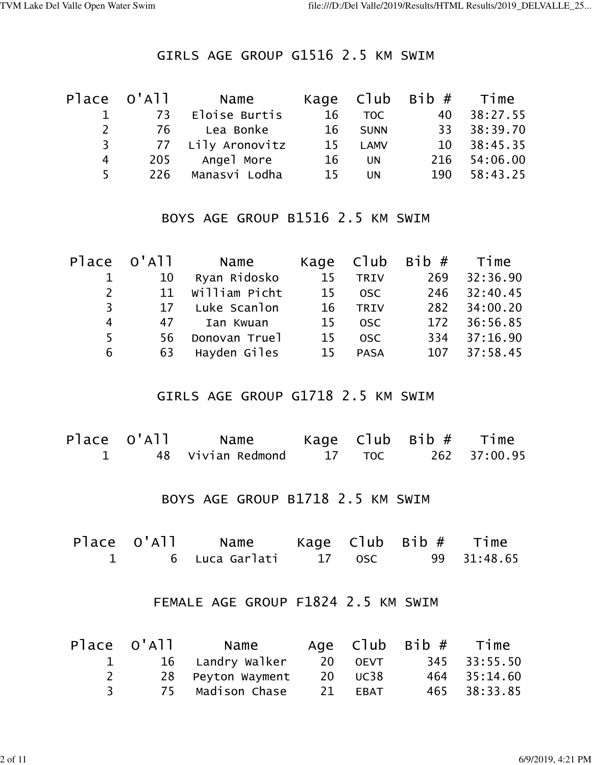#### GIRLS AGE GROUP G1516 2.5 KM SWIM

|                | Place O'All | Name              |    |             | Kage $C1ub$ Bib $#$ Time |             |
|----------------|-------------|-------------------|----|-------------|--------------------------|-------------|
|                |             | 73 Eloise Burtis  | 16 | TOC         | 40                       | 38:27.55    |
| $2^{\circ}$    | 76          | Lea Bonke         |    | 16 SUNN     | 33 L                     | 38:39.70    |
| 3 <sup>7</sup> |             | 77 Lily Aronovitz | 15 | <b>LAMV</b> |                          | 10 38:45.35 |
| 4              | 205         | Angel More        | 16 | <b>UN</b>   | 216                      | 54:06.00    |
| $5 -$          | 226         | Manasvi Lodha     | 15 | <b>UN</b>   | 190                      | 58:43.25    |

#### BOYS AGE GROUP B1516 2.5 KM SWIM

| Place O'All    |    | Name          | Kage Club |             | Bib # Time |              |
|----------------|----|---------------|-----------|-------------|------------|--------------|
| $\mathbf{1}$   | 10 | Ryan Ridosko  | 15        | <b>TRIV</b> | 269        | 32:36.90     |
| $\overline{2}$ | 11 | William Picht | 15        | <b>OSC</b>  | 246        | 32:40.45     |
| 3              | 17 | Luke Scanlon  | 16        | <b>TRIV</b> | 282        | 34:00.20     |
| 4              | 47 | Ian Kwuan     | 15        | <b>OSC</b>  |            | 172 36:56.85 |
| 5              | 56 | Donovan Truel | 15        | <b>OSC</b>  |            | 334 37:16.90 |
| 6              | 63 | Hayden Giles  | 15        | <b>PASA</b> |            | 107 37:58.45 |

## GIRLS AGE GROUP G1718 2.5 KM SWIM

| Place O'All | Name                |        | Kaqe C $\textsf{lub}$ Bib $\#$ Time |              |
|-------------|---------------------|--------|-------------------------------------|--------------|
|             | 1 48 Vivian Redmond | 17 TOC |                                     | 262 37:00.95 |

# BOYS AGE GROUP B1718 2.5 KM SWIM

| Place O'All | <b>Solution Name</b>    |  | Kage C $\textsf{lub}$ Bib $\#$ Time |             |
|-------------|-------------------------|--|-------------------------------------|-------------|
|             | 6 Luca-Garlati - 17 OSC |  |                                     | 99 31:48.65 |

#### FEMALE AGE GROUP F1824 2.5 KM SWIM

|   | Place O'All   Name |         | Age $C1ub$ Bib $#$ Time |              |
|---|--------------------|---------|-------------------------|--------------|
|   | 16 Landry Walker   | 20 OEVT |                         | 345 33:55.50 |
|   | 28 Peyton Wayment  | 20 UC38 |                         | 464 35:14.60 |
| २ | 75 Madison Chase   | 21 EBAT |                         | 465 38:33.85 |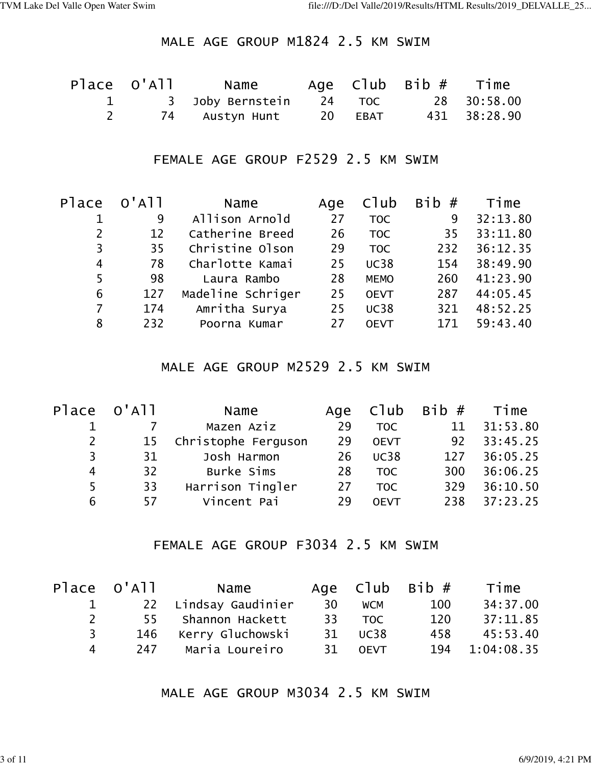### MALE AGE GROUP M1824 2.5 KM SWIM

| Place O'All | Name             |                      | Age $C1ub$ Bib $#$ Time |              |
|-------------|------------------|----------------------|-------------------------|--------------|
|             | 3 Joby Bernstein | $\sim$ 24 TOC $\sim$ |                         | 28 30:58.00  |
|             | 74 Austyn Hunt   | 20 EBAT              |                         | 431 38:28.90 |

#### FEMALE AGE GROUP F2529 2.5 KM SWIM

| Place          | $O'$ A $11$ | Name              | Age | C1ub        | Bib# | Time     |
|----------------|-------------|-------------------|-----|-------------|------|----------|
|                | 9           | Allison Arnold    | 27  | <b>TOC</b>  | 9    | 32:13.80 |
| $\overline{2}$ | 12          | Catherine Breed   | 26  | <b>TOC</b>  | 35   | 33:11.80 |
| 3              | 35          | Christine Olson   | 29  | <b>TOC</b>  | 232  | 36:12.35 |
| 4              | 78          | Charlotte Kamai   | 25  | <b>UC38</b> | 154  | 38:49.90 |
| 5              | 98          | Laura Rambo       | 28  | <b>MEMO</b> | 260  | 41:23.90 |
| 6              | 127         | Madeline Schriger | 25  | <b>OEVT</b> | 287  | 44:05.45 |
| $\overline{7}$ | 174         | Amritha Surya     | 25  | <b>UC38</b> | 321  | 48:52.25 |
| 8              | 232         | Poorna Kumar      | 27  | <b>OEVT</b> | 171  | 59:43.40 |
|                |             |                   |     |             |      |          |

### MALE AGE GROUP M2529 2.5 KM SWIM

| Place O'All           |                 | Name                |    | Age Club         | Bib # Time |          |
|-----------------------|-----------------|---------------------|----|------------------|------------|----------|
|                       |                 | Mazen Aziz          | 29 | <b>TOC</b>       | 11         | 31:53.80 |
| $\mathbf{2}^{\prime}$ | 15              | Christophe Ferguson | 29 | <b>OEVT</b>      | 92         | 33:45.25 |
| 3                     | 31              | Josh Harmon         | 26 | <b>UC38</b>      | 127        | 36:05.25 |
| 4                     | 32 <sup>2</sup> | Burke Sims          | 28 | <b>TOC</b>       | 300        | 36:06.25 |
| 5                     | 33              | Harrison Tingler    | 27 | T <sub>O</sub> C | 329        | 36:10.50 |
| 6                     | 57              | Vincent Pai         | 29 | <b>OEVT</b>      | 238        | 37:23.25 |

# FEMALE AGE GROUP F3034 2.5 KM SWIM

|                    | Place O'All | Name                 |     |            | Age $C1ub$ Bib $#$ | Time       |
|--------------------|-------------|----------------------|-----|------------|--------------------|------------|
|                    |             | 22 Lindsay Gaudinier | -30 | <b>WCM</b> | 100                | 34:37.00   |
| $\mathcal{P}$      |             | 55 Shannon Hackett   |     | 33 TOC     | 120                | 37:11.85   |
| २                  |             | 146 Kerry Gluchowski |     | 31 UC38    | 458                | 45:53.40   |
| $\mathbf{\Lambda}$ |             | 247 Maria Loureiro   |     | 31 OEVT    | 194                | 1:04:08.35 |

# MALE AGE GROUP M3034 2.5 KM SWIM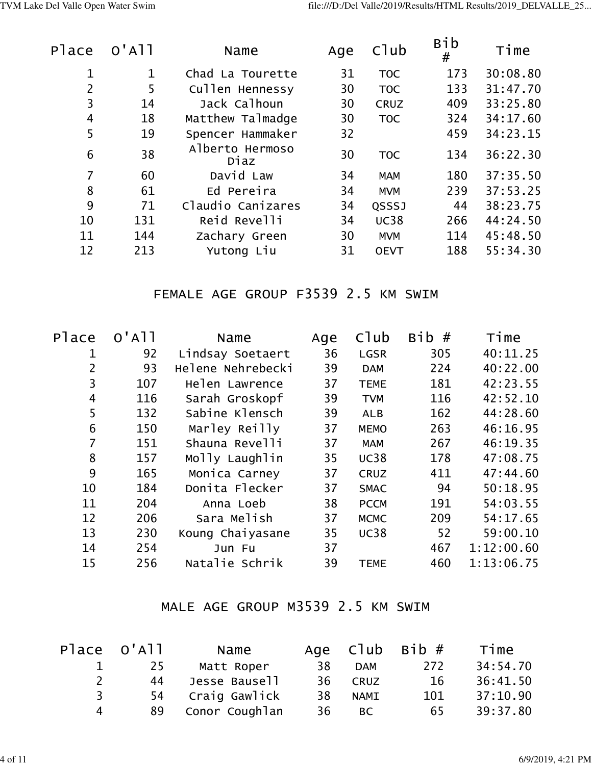| Place          | $O'$ A $11$ | Name                    | Age | C1ub        | Bib<br># | Time     |
|----------------|-------------|-------------------------|-----|-------------|----------|----------|
| 1              | 1           | Chad La Tourette        | 31  | <b>TOC</b>  | 173      | 30:08.80 |
| $\overline{2}$ | 5           | Cullen Hennessy         | 30  | <b>TOC</b>  | 133      | 31:47.70 |
| 3              | 14          | Jack Calhoun            | 30  | <b>CRUZ</b> | 409      | 33:25.80 |
| 4              | 18          | Matthew Talmadge        | 30  | <b>TOC</b>  | 324      | 34:17.60 |
| 5              | 19          | Spencer Hammaker        | 32  |             | 459      | 34:23.15 |
| 6              | 38          | Alberto Hermoso<br>Diaz | 30  | <b>TOC</b>  | 134      | 36:22.30 |
| $\overline{7}$ | 60          | David Law               | 34  | <b>MAM</b>  | 180      | 37:35.50 |
| 8              | 61          | Ed Pereira              | 34  | <b>MVM</b>  | 239      | 37:53.25 |
| 9              | 71          | Claudio Canizares       | 34  | QSSSJ       | 44       | 38:23.75 |
| 10             | 131         | Reid Revelli            | 34  | <b>UC38</b> | 266      | 44:24.50 |
| 11             | 144         | Zachary Green           | 30  | <b>MVM</b>  | 114      | 45:48.50 |
| 12             | 213         | Yutong Liu              | 31  | <b>OEVT</b> | 188      | 55:34.30 |
|                |             |                         |     |             |          |          |

# FEMALE AGE GROUP F3539 2.5 KM SWIM

| Place          | $O'$ A $1$ | Name              | Age | C1ub        | Bib# | Time       |
|----------------|------------|-------------------|-----|-------------|------|------------|
| 1              | 92         | Lindsay Soetaert  | 36  | <b>LGSR</b> | 305  | 40:11.25   |
| 2              | 93         | Helene Nehrebecki | 39  | <b>DAM</b>  | 224  | 40:22.00   |
| 3              | 107        | Helen Lawrence    | 37  | <b>TEME</b> | 181  | 42:23.55   |
| $\overline{4}$ | 116        | Sarah Groskopf    | 39  | <b>TVM</b>  | 116  | 42:52.10   |
| 5              | 132        | Sabine Klensch    | 39  | <b>ALB</b>  | 162  | 44:28.60   |
| 6              | 150        | Marley Reilly     | 37  | <b>MEMO</b> | 263  | 46:16.95   |
| 7              | 151        | Shauna Revelli    | 37  | <b>MAM</b>  | 267  | 46:19.35   |
| 8              | 157        | Molly Laughlin    | 35  | <b>UC38</b> | 178  | 47:08.75   |
| 9              | 165        | Monica Carney     | 37  | <b>CRUZ</b> | 411  | 47:44.60   |
| 10             | 184        | Donita Flecker    | 37  | <b>SMAC</b> | 94   | 50:18.95   |
| 11             | 204        | Anna Loeb         | 38  | <b>PCCM</b> | 191  | 54:03.55   |
| 12             | 206        | Sara Melish       | 37  | <b>MCMC</b> | 209  | 54:17.65   |
| 13             | 230        | Koung Chaiyasane  | 35  | <b>UC38</b> | 52   | 59:00.10   |
| 14             | 254        | Jun Fu            | 37  |             | 467  | 1:12:00.60 |
| 15             | 256        | Natalie Schrik    | 39  | <b>TEME</b> | 460  | 1:13:06.75 |
|                |            |                   |     |             |      |            |

# MALE AGE GROUP M3539 2.5 KM SWIM

|   | Place O'All | Name           |    |             | Age $C1ub$ Bib $#$ | Time     |
|---|-------------|----------------|----|-------------|--------------------|----------|
|   | 25          | Matt Roper     | 38 | <b>DAM</b>  | 272                | 34:54.70 |
|   | 44          | Jesse Bausell  | 36 | <b>CRUZ</b> | 16                 | 36:41.50 |
| 3 | 54          | Craig Gawlick  | 38 | <b>NAMI</b> | 101                | 37:10.90 |
| 4 | 89          | Conor Coughlan | 36 | BC.         | 65                 | 39:37.80 |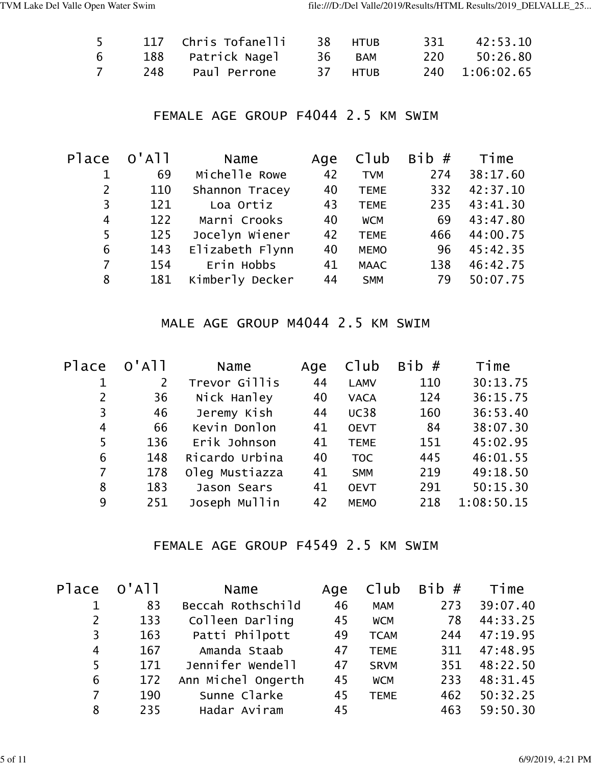| 5 |     | 117 Chris Tofanelli | 38 HTUR | 331 | 42:53.10       |
|---|-----|---------------------|---------|-----|----------------|
| 6 |     | 188 Patrick Nagel   | 36 BAM  | 220 | 50:26.80       |
|   | 248 | Paul Perrone        | 37 HTUB |     | 240 1:06:02.65 |

## FEMALE AGE GROUP F4044 2.5 KM SWIM

| Place          | $O'$ A $11$ | Name            | Age | Club        | Bib# | Time     |
|----------------|-------------|-----------------|-----|-------------|------|----------|
|                | 69          | Michelle Rowe   | 42  | <b>TVM</b>  | 274  | 38:17.60 |
| $\overline{2}$ | 110         | Shannon Tracey  | 40  | <b>TEME</b> | 332  | 42:37.10 |
| 3              | 121         | Loa Ortiz       | 43  | <b>TEME</b> | 235  | 43:41.30 |
| 4              | 122         | Marni Crooks    | 40  | <b>WCM</b>  | 69   | 43:47.80 |
| 5              | 125         | Jocelyn Wiener  | 42  | <b>TEME</b> | 466  | 44:00.75 |
| 6              | 143         | Elizabeth Flynn | 40  | <b>MEMO</b> | 96   | 45:42.35 |
| $\overline{7}$ | 154         | Erin Hobbs      | 41  | <b>MAAC</b> | 138  | 46:42.75 |
| 8              | 181         | Kimberly Decker | 44  | <b>SMM</b>  | 79   | 50:07.75 |

## MALE AGE GROUP M4044 2.5 KM SWIM

| $O'$ A $11$    | Name           | Age | Club        | <b>Bib</b><br># | Time       |
|----------------|----------------|-----|-------------|-----------------|------------|
| $\overline{2}$ | Trevor Gillis  | 44  | <b>LAMV</b> | 110             | 30:13.75   |
| 36             | Nick Hanley    | 40  | <b>VACA</b> | 124             | 36:15.75   |
| 46             | Jeremy Kish    | 44  | <b>UC38</b> | 160             | 36:53.40   |
| 66             | Kevin Donlon   | 41  | <b>OEVT</b> | 84              | 38:07.30   |
| 136            | Erik Johnson   | 41  | <b>TEME</b> | 151             | 45:02.95   |
| 148            | Ricardo Urbina | 40  | <b>TOC</b>  | 445             | 46:01.55   |
| 178            | Oleg Mustiazza | 41  | <b>SMM</b>  | 219             | 49:18.50   |
| 183            | Jason Sears    | 41  | <b>OEVT</b> | 291             | 50:15.30   |
| 251            | Joseph Mullin  | 42  | <b>MEMO</b> | 218             | 1:08:50.15 |
|                |                |     |             |                 |            |

## FEMALE AGE GROUP F4549 2.5 KM SWIM

| Place          | $O'$ A $11$ | Name               | Age | Club        | Bib# | Time     |
|----------------|-------------|--------------------|-----|-------------|------|----------|
|                | 83          | Beccah Rothschild  | 46  | <b>MAM</b>  | 273  | 39:07.40 |
| 2              | 133         | Colleen Darling    | 45  | <b>WCM</b>  | 78   | 44:33.25 |
| $\overline{3}$ | 163         | Patti Philpott     | 49  | <b>TCAM</b> | 244  | 47:19.95 |
| $\overline{4}$ | 167         | Amanda Staab       | 47  | <b>TEME</b> | 311  | 47:48.95 |
| 5              | 171         | Jennifer Wendell   | 47  | <b>SRVM</b> | 351  | 48:22.50 |
| 6              | 172         | Ann Michel Ongerth | 45  | <b>WCM</b>  | 233  | 48:31.45 |
| $\overline{7}$ | 190         | Sunne Clarke       | 45  | <b>TEME</b> | 462  | 50:32.25 |
| 8              | 235         | Hadar Aviram       | 45  |             | 463  | 59:50.30 |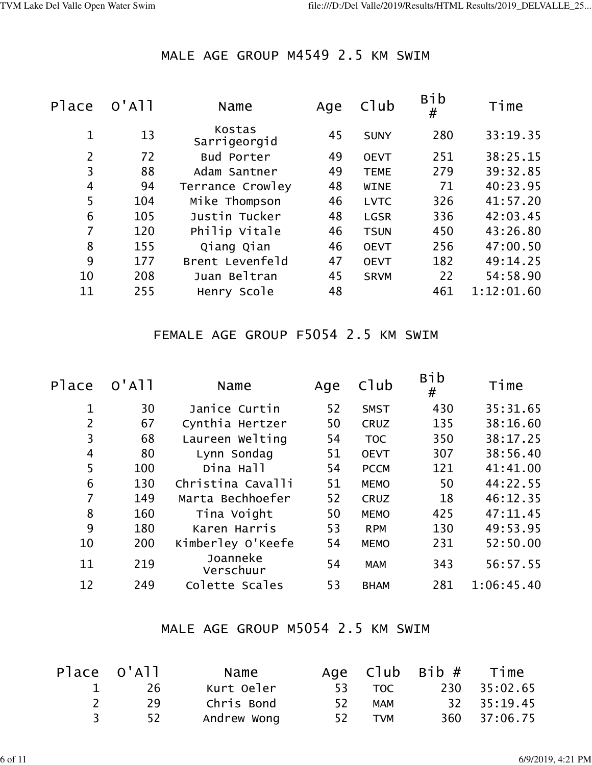# MALE AGE GROUP M4549 2.5 KM SWIM

| Place          | $O'$ A $11$ | Name                   | Age | C1ub        | Bib<br># | Time       |
|----------------|-------------|------------------------|-----|-------------|----------|------------|
| $\mathbf 1$    | 13          | Kostas<br>Sarrigeorgid | 45  | <b>SUNY</b> | 280      | 33:19.35   |
| $\overline{2}$ | 72          | Bud Porter             | 49  | <b>OEVT</b> | 251      | 38:25.15   |
| 3              | 88          | Adam Santner           | 49  | <b>TEME</b> | 279      | 39:32.85   |
| 4              | 94          | Terrance Crowley       | 48  | <b>WINE</b> | 71       | 40:23.95   |
| 5              | 104         | Mike Thompson          | 46  | <b>LVTC</b> | 326      | 41:57.20   |
| 6              | 105         | Justin Tucker          | 48  | <b>LGSR</b> | 336      | 42:03.45   |
| 7              | 120         | Philip Vitale          | 46  | <b>TSUN</b> | 450      | 43:26.80   |
| 8              | 155         | Qiang Qian             | 46  | <b>OEVT</b> | 256      | 47:00.50   |
| 9              | 177         | Brent Levenfeld        | 47  | <b>OEVT</b> | 182      | 49:14.25   |
| 10             | 208         | Juan Beltran           | 45  | <b>SRVM</b> | 22       | 54:58.90   |
| 11             | 255         | Henry Scole            | 48  |             | 461      | 1:12:01.60 |
|                |             |                        |     |             |          |            |

# FEMALE AGE GROUP F5054 2.5 KM SWIM

| Place          | $O'$ A $11$ | Name                  | Age | C1ub        | Bib<br># | Time       |
|----------------|-------------|-----------------------|-----|-------------|----------|------------|
| 1              | 30          | Janice Curtin         | 52  | <b>SMST</b> | 430      | 35:31.65   |
| $\overline{2}$ | 67          | Cynthia Hertzer       | 50  | <b>CRUZ</b> | 135      | 38:16.60   |
| 3              | 68          | Laureen Welting       | 54  | <b>TOC</b>  | 350      | 38:17.25   |
| 4              | 80          | Lynn Sondag           | 51  | <b>OEVT</b> | 307      | 38:56.40   |
| 5              | 100         | Dina Hall             | 54  | <b>PCCM</b> | 121      | 41:41.00   |
| 6              | 130         | Christina Cavalli     | 51  | <b>MEMO</b> | 50       | 44:22.55   |
| 7              | 149         | Marta Bechhoefer      | 52  | <b>CRUZ</b> | 18       | 46:12.35   |
| 8              | 160         | Tina Voight           | 50  | <b>MEMO</b> | 425      | 47:11.45   |
| 9              | 180         | Karen Harris          | 53  | <b>RPM</b>  | 130      | 49:53.95   |
| 10             | 200         | Kimberley O'Keefe     | 54  | <b>MEMO</b> | 231      | 52:50.00   |
| 11             | 219         | Joanneke<br>Verschuur | 54  | <b>MAM</b>  | 343      | 56:57.55   |
| 12             | 249         | Colette Scales        | 53  | <b>BHAM</b> | 281      | 1:06:45.40 |
|                |             |                       |     |             |          |            |

## MALE AGE GROUP M5054 2.5 KM SWIM

| Place O'All | Name        |     |            | Age $C1ub$ Bib $#$ Time |              |
|-------------|-------------|-----|------------|-------------------------|--------------|
| -26         | Kurt Oeler  |     | 53 TOC     |                         | 230 35:02.65 |
| 29          | Chris Bond  | 52. | MAM        |                         | 32 35:19.45  |
| 52          | Andrew Wong | 52  | <b>TVM</b> |                         | 360 37:06.75 |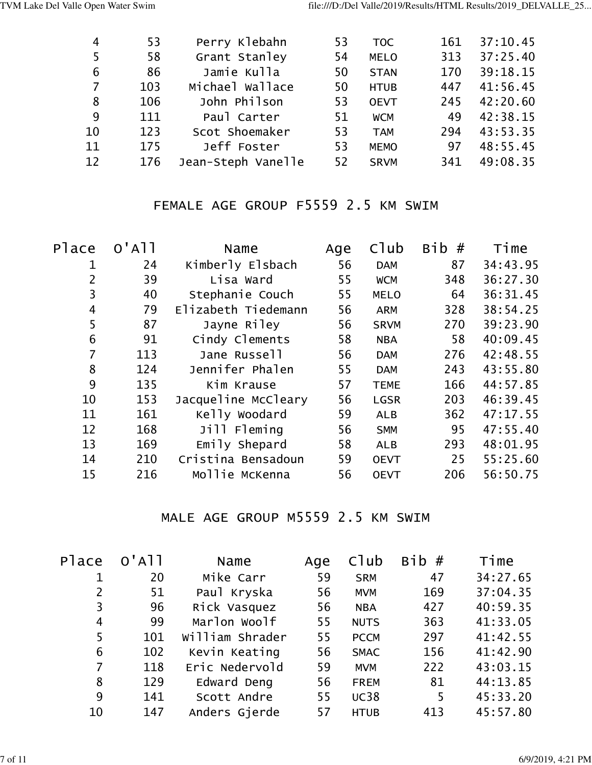| 4  | 53  | Perry Klebahn      | 53 | <b>TOC</b>  | 161 | 37:10.45 |
|----|-----|--------------------|----|-------------|-----|----------|
| 5  | 58  | Grant Stanley      | 54 | <b>MELO</b> | 313 | 37:25.40 |
| 6  | 86  | Jamie Kulla        | 50 | <b>STAN</b> | 170 | 39:18.15 |
| 7  | 103 | Michael Wallace    | 50 | <b>HTUB</b> | 447 | 41:56.45 |
| 8  | 106 | John Philson       | 53 | <b>OEVT</b> | 245 | 42:20.60 |
| 9  | 111 | Paul Carter        | 51 | <b>WCM</b>  | 49  | 42:38.15 |
| 10 | 123 | Scot Shoemaker     | 53 | <b>TAM</b>  | 294 | 43:53.35 |
| 11 | 175 | Jeff Foster        | 53 | <b>MEMO</b> | 97  | 48:55.45 |
| 12 | 176 | Jean-Steph Vanelle | 52 | <b>SRVM</b> | 341 | 49:08.35 |

# FEMALE AGE GROUP F5559 2.5 KM SWIM

| Place          | $O'$ A $1$ | Name                | Age | Club        | #<br><b>Bib</b> | Time     |
|----------------|------------|---------------------|-----|-------------|-----------------|----------|
| 1              | 24         | Kimberly Elsbach    | 56  | <b>DAM</b>  | 87              | 34:43.95 |
| $\overline{2}$ | 39         | Lisa Ward           | 55  | <b>WCM</b>  | 348             | 36:27.30 |
| 3              | 40         | Stephanie Couch     | 55  | <b>MELO</b> | 64              | 36:31.45 |
| 4              | 79         | Elizabeth Tiedemann | 56  | <b>ARM</b>  | 328             | 38:54.25 |
| 5              | 87         | Jayne Riley         | 56  | <b>SRVM</b> | 270             | 39:23.90 |
| 6              | 91         | Cindy Clements      | 58  | <b>NBA</b>  | 58              | 40:09.45 |
| $\overline{7}$ | 113        | Jane Russell        | 56  | <b>DAM</b>  | 276             | 42:48.55 |
| 8              | 124        | Jennifer Phalen     | 55  | <b>DAM</b>  | 243             | 43:55.80 |
| 9              | 135        | Kim Krause          | 57  | <b>TEME</b> | 166             | 44:57.85 |
| 10             | 153        | Jacqueline McCleary | 56  | <b>LGSR</b> | 203             | 46:39.45 |
| 11             | 161        | Kelly Woodard       | 59  | <b>ALB</b>  | 362             | 47:17.55 |
| 12             | 168        | Jill Fleming        | 56  | <b>SMM</b>  | 95              | 47:55.40 |
| 13             | 169        | Emily Shepard       | 58  | <b>ALB</b>  | 293             | 48:01.95 |
| 14             | 210        | Cristina Bensadoun  | 59  | <b>OEVT</b> | 25              | 55:25.60 |
| 15             | 216        | Mollie McKenna      | 56  | <b>OEVT</b> | 206             | 56:50.75 |

## MALE AGE GROUP M5559 2.5 KM SWIM

| Place          | $O'$ A $1$ | Name            | Age | Club        | Bib# | Time     |
|----------------|------------|-----------------|-----|-------------|------|----------|
|                | 20         | Mike Carr       | 59  | <b>SRM</b>  | 47   | 34:27.65 |
| $\overline{2}$ | 51         | Paul Kryska     | 56  | <b>MVM</b>  | 169  | 37:04.35 |
| 3              | 96         | Rick Vasquez    | 56  | <b>NBA</b>  | 427  | 40:59.35 |
| $\overline{4}$ | 99         | Marlon Woolf    | 55  | <b>NUTS</b> | 363  | 41:33.05 |
| 5              | 101        | William Shrader | 55  | <b>PCCM</b> | 297  | 41:42.55 |
| 6              | 102        | Kevin Keating   | 56  | <b>SMAC</b> | 156  | 41:42.90 |
| $\overline{7}$ | 118        | Eric Nedervold  | 59  | <b>MVM</b>  | 222  | 43:03.15 |
| 8              | 129        | Edward Deng     | 56  | <b>FREM</b> | 81   | 44:13.85 |
| 9              | 141        | Scott Andre     | 55  | <b>UC38</b> | 5    | 45:33.20 |
| 10             | 147        | Anders Gjerde   | 57  | <b>HTUB</b> | 413  | 45:57.80 |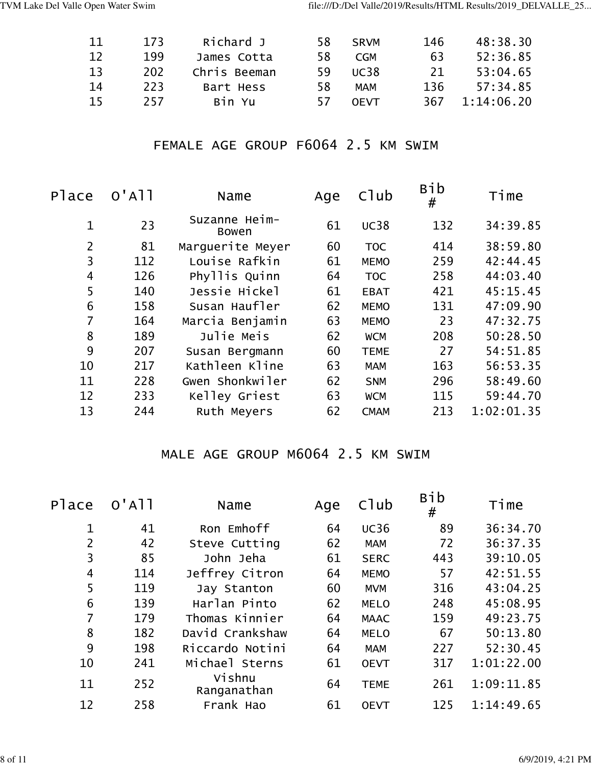| -11 | 173 | Richard J    | 58 | SRVM        | 146 | 48:38.30   |
|-----|-----|--------------|----|-------------|-----|------------|
| 12  | 199 | James Cotta  | 58 | <b>CGM</b>  | 63  | 52:36.85   |
| 13  | 202 | Chris Beeman | 59 | UC38        | 21  | 53:04.65   |
| -14 | 223 | Bart Hess    | 58 | <b>MAM</b>  | 136 | 57:34.85   |
| 15  | 257 | Bin Yu       | 57 | <b>OFVT</b> | 367 | 1:14:06.20 |

### FEMALE AGE GROUP F6064 2.5 KM SWIM

| Place          | $O'$ A $11$ | Name                   | Age | C1ub        | <b>Bib</b><br># | Time       |
|----------------|-------------|------------------------|-----|-------------|-----------------|------------|
| 1              | 23          | Suzanne Heim-<br>Bowen | 61  | <b>UC38</b> | 132             | 34:39.85   |
| $\overline{2}$ | 81          | Marquerite Meyer       | 60  | <b>TOC</b>  | 414             | 38:59.80   |
| 3              | 112         | Louise Rafkin          | 61  | <b>MEMO</b> | 259             | 42:44.45   |
| 4              | 126         | Phyllis Quinn          | 64  | <b>TOC</b>  | 258             | 44:03.40   |
| 5              | 140         | Jessie Hickel          | 61  | <b>EBAT</b> | 421             | 45:15.45   |
| 6              | 158         | Susan Haufler          | 62  | <b>MEMO</b> | 131             | 47:09.90   |
| 7              | 164         | Marcia Benjamin        | 63  | <b>MEMO</b> | 23              | 47:32.75   |
| 8              | 189         | Julie Meis             | 62  | <b>WCM</b>  | 208             | 50:28.50   |
| 9              | 207         | Susan Bergmann         | 60  | <b>TEME</b> | 27              | 54:51.85   |
| 10             | 217         | Kathleen Kline         | 63  | <b>MAM</b>  | 163             | 56:53.35   |
| 11             | 228         | Gwen Shonkwiler        | 62  | <b>SNM</b>  | 296             | 58:49.60   |
| 12             | 233         | Kelley Griest          | 63  | <b>WCM</b>  | 115             | 59:44.70   |
| 13             | 244         | Ruth Meyers            | 62  | <b>CMAM</b> | 213             | 1:02:01.35 |

# MALE AGE GROUP M6064 2.5 KM SWIM

| Place       | $O'$ A $11$ | Name                  | Age | C1ub        | <b>Bib</b><br># | Time       |
|-------------|-------------|-----------------------|-----|-------------|-----------------|------------|
| $\mathbf 1$ | 41          | Ron Emhoff            | 64  | <b>UC36</b> | 89              | 36:34.70   |
| 2           | 42          | Steve Cutting         | 62  | <b>MAM</b>  | 72              | 36:37.35   |
| 3           | 85          | John Jeha             | 61  | <b>SERC</b> | 443             | 39:10.05   |
| 4           | 114         | Jeffrey Citron        | 64  | <b>MEMO</b> | 57              | 42:51.55   |
| 5           | 119         | Jay Stanton           | 60  | <b>MVM</b>  | 316             | 43:04.25   |
| 6           | 139         | Harlan Pinto          | 62  | <b>MELO</b> | 248             | 45:08.95   |
| 7           | 179         | Thomas Kinnier        | 64  | <b>MAAC</b> | 159             | 49:23.75   |
| 8           | 182         | David Crankshaw       | 64  | <b>MELO</b> | 67              | 50:13.80   |
| 9           | 198         | Riccardo Notini       | 64  | <b>MAM</b>  | 227             | 52:30.45   |
| 10          | 241         | Michael Sterns        | 61  | <b>OEVT</b> | 317             | 1:01:22.00 |
| 11          | 252         | Vishnu<br>Ranganathan | 64  | <b>TEME</b> | 261             | 1:09:11.85 |
| 12          | 258         | Frank Hao             | 61  | <b>OEVT</b> | 125             | 1:14:49.65 |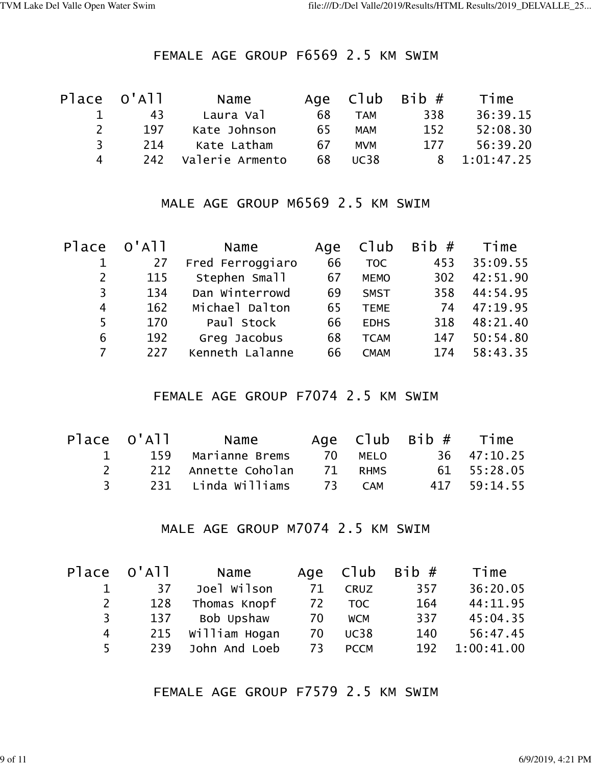## FEMALE AGE GROUP F6569 2.5 KM SWIM

|                    | Place O'All | Name            |    |             | Age $C1ub$ Bib $#$ | Time         |
|--------------------|-------------|-----------------|----|-------------|--------------------|--------------|
|                    | 43          | Laura Val       | 68 | <b>TAM</b>  | 338                | 36:39.15     |
| $\mathcal{L}$      | 197         | Kate Johnson    | 65 | <b>MAM</b>  | 152                | 52:08.30     |
| २                  | 214         | Kate Latham     | 67 | <b>MVM</b>  | 177                | 56:39.20     |
| $\mathbf{\Lambda}$ | 242         | Valerie Armento | 68 | <b>UC38</b> |                    | 8 1:01:47.25 |

# MALE AGE GROUP M6569 2.5 KM SWIM

| Place                 | $O'$ A $11$ | Name             | Age | Club        | Bib# | Time     |
|-----------------------|-------------|------------------|-----|-------------|------|----------|
|                       | 27          | Fred Ferroggiaro | 66  | <b>TOC</b>  | 453  | 35:09.55 |
| $\mathbf{2}^{\prime}$ | 115         | Stephen Small    | 67  | <b>MEMO</b> | 302  | 42:51.90 |
| 3                     | 134         | Dan Winterrowd   | 69  | <b>SMST</b> | 358  | 44:54.95 |
| 4                     | 162         | Michael Dalton   | 65  | <b>TEME</b> | 74   | 47:19.95 |
| 5                     | 170         | Paul Stock       | 66  | <b>EDHS</b> | 318  | 48:21.40 |
| 6                     | 192         | Greg Jacobus     | 68  | <b>TCAM</b> | 147  | 50:54.80 |
| 7                     | 227         | Kenneth Lalanne  | 66  | <b>CMAM</b> | 174  | 58:43.35 |

### FEMALE AGE GROUP F7074 2.5 KM SWIM

|                     | Place O'All | Name                |         | Age $C1ub$ Bib $#$ Time |              |
|---------------------|-------------|---------------------|---------|-------------------------|--------------|
| The Contract of the |             | 159 Marianne Brems  | 70 MELO |                         | 36 47:10.25  |
| $\mathcal{P}$       |             | 212 Annette Coholan | 71 RHMS |                         | 61 55:28.05  |
| $\mathbf{R}$        |             | 231 Linda Williams  | 73 CAM  |                         | 417 59:14.55 |

## MALE AGE GROUP M7074 2.5 KM SWIM

|              | Place O'All | Name          |    |             | Age $C1ub$ Bib $#$ | Time       |
|--------------|-------------|---------------|----|-------------|--------------------|------------|
|              | 37          | Joel Wilson   | 71 | <b>CRUZ</b> | 357                | 36:20.05   |
| $\mathsf{2}$ | 128         | Thomas Knopf  | 72 | <b>TOC</b>  | 164                | 44:11.95   |
| 3            | 137         | Bob Upshaw    | 70 | <b>WCM</b>  | 337                | 45:04.35   |
| 4            | 215         | William Hogan | 70 | <b>UC38</b> | 140                | 56:47.45   |
| 5.           | 239         | John And Loeb | 73 | <b>PCCM</b> | 192                | 1:00:41.00 |

FEMALE AGE GROUP F7579 2.5 KM SWIM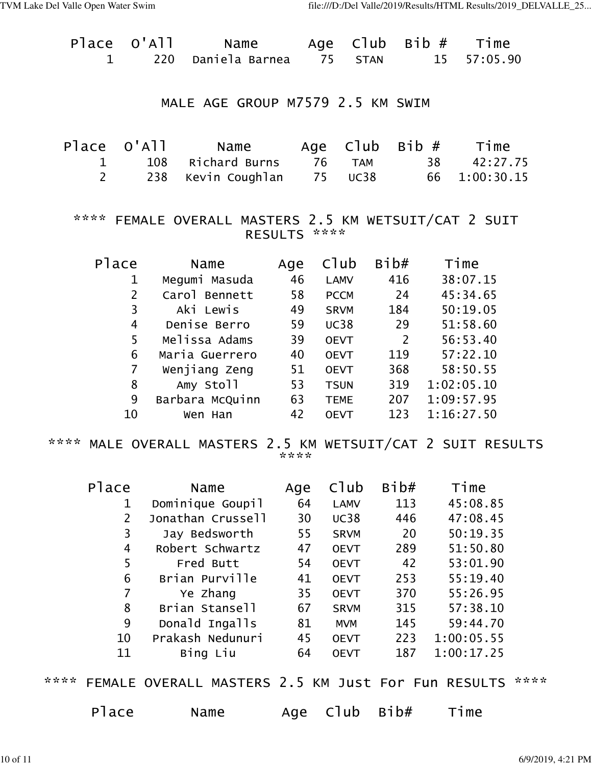| Place O'All    |                |     | Name                                                   |                 |             | Age Club Bib#  |                |            | Time       |
|----------------|----------------|-----|--------------------------------------------------------|-----------------|-------------|----------------|----------------|------------|------------|
| $\mathbf{1}$   |                | 220 | Daniela Barnea 75 STAN                                 |                 |             |                | 15             |            | 57:05.90   |
|                |                |     | MALE AGE GROUP M7579 2.5 KM SWIM                       |                 |             |                |                |            |            |
| Place O'All    |                |     | Name                                                   |                 |             | Age Club Bib#  |                |            | Time       |
| $\mathbf{1}$   |                |     | 108 Richard Burns                                      |                 | 76 TAM      |                | 38             |            | 42:27.75   |
| $\overline{2}$ |                | 238 | Kevin Coughlan 75 UC38                                 |                 |             |                | 66             |            | 1:00:30.15 |
|                |                |     | **** FEMALE OVERALL MASTERS 2.5 KM WETSUIT/CAT 2 SUIT  | RESULTS ****    |             |                |                |            |            |
| Place          |                |     | Name                                                   |                 |             | Age Club Bib#  |                | Time       |            |
|                | $\mathbf 1$    |     | Megumi Masuda                                          |                 | 46 LAMV     | 416            |                | 38:07.15   |            |
|                | $2^{\circ}$    |     | Carol Bennett                                          | 58              | <b>PCCM</b> | 24             |                | 45:34.65   |            |
|                | $\overline{3}$ |     | Aki Lewis                                              | 49              | <b>SRVM</b> | 184            |                | 50:19.05   |            |
|                | $\overline{4}$ |     | Denise Berro 59                                        |                 |             | UC38 29        |                | 51:58.60   |            |
|                | 5              |     | Melissa Adams                                          | $\overline{39}$ | <b>OEVT</b> | $\overline{2}$ |                | 56:53.40   |            |
|                | 6              |     | Maria Guerrero 40                                      |                 | <b>OEVT</b> | 119            |                | 57:22.10   |            |
|                | $\overline{7}$ |     | Wenjiang Zeng        51                                |                 | <b>OEVT</b> | 368            |                | 58:50.55   |            |
|                | 8              |     | Amy Stoll                                              | 53              | <b>TSUN</b> |                | 319 1:02:05.10 |            |            |
|                | 9              |     | Barbara McQuinn                                        | 63              | <b>TEME</b> | 207            | 1:09:57.95     |            |            |
|                | 10             |     | Wen Han                                                | 42              | <b>OEVT</b> | 123            |                | 1:16:27.50 |            |
| ****           |                |     | MALE OVERALL MASTERS 2.5 KM WETSUIT/CAT 2 SUIT RESULTS | ****            |             |                |                |            |            |
| Place          |                |     | Name                                                   | Age             | C1ub        | Bib#           |                | Time       |            |
|                | 1              |     | Dominique Goupil                                       | 64              | <b>LAMV</b> | 113            |                | 45:08.85   |            |
|                | $\overline{2}$ |     | Jonathan Crussell                                      | 30              | <b>UC38</b> | 446            |                | 47:08.45   |            |
|                | 3              |     | Jay Bedsworth                                          | 55              | <b>SRVM</b> | 20             |                | 50:19.35   |            |
|                | 4              |     | Robert Schwartz                                        | 47              | <b>OEVT</b> | 289            |                | 51:50.80   |            |
|                | 5              |     | Fred Butt                                              | 54              | <b>OEVT</b> | 42             |                | 53:01.90   |            |
|                | 6              |     | Brian Purville                                         | 41              | <b>OEVT</b> | 253            |                | 55:19.40   |            |
|                | $\overline{7}$ |     | Ye Zhang                                               | 35              | <b>OEVT</b> | 370            |                | 55:26.95   |            |
|                | 8              |     | Brian Stansell                                         | 67              | <b>SRVM</b> | 315            |                | 57:38.10   |            |
|                | 9              |     | Donald Ingalls                                         | 81              | <b>MVM</b>  | 145            |                | 59:44.70   |            |
|                | 10             |     | Prakash Nedunuri                                       | 45              | <b>OEVT</b> | 223            |                | 1:00:05.55 |            |
|                | 11             |     | Bing Liu                                               | 64              | <b>OEVT</b> | 187            |                | 1:00:17.25 |            |

\*\*\*\* FEMALE OVERALL MASTERS 2.5 KM Just For Fun RESULTS \*\*\*\*

| Place | Name | Age $C1ub$ Bib# | Time |
|-------|------|-----------------|------|
|       |      |                 |      |